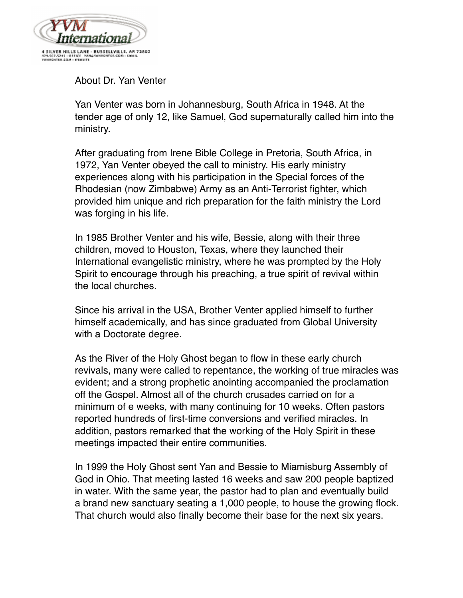

About Dr. Yan Venter

Yan Venter was born in Johannesburg, South Africa in 1948. At the tender age of only 12, like Samuel, God supernaturally called him into the ministry.

After graduating from Irene Bible College in Pretoria, South Africa, in 1972, Yan Venter obeyed the call to ministry. His early ministry experiences along with his participation in the Special forces of the Rhodesian (now Zimbabwe) Army as an Anti-Terrorist fighter, which provided him unique and rich preparation for the faith ministry the Lord was forging in his life.

In 1985 Brother Venter and his wife, Bessie, along with their three children, moved to Houston, Texas, where they launched their International evangelistic ministry, where he was prompted by the Holy Spirit to encourage through his preaching, a true spirit of revival within the local churches.

Since his arrival in the USA, Brother Venter applied himself to further himself academically, and has since graduated from Global University with a Doctorate degree.

As the River of the Holy Ghost began to flow in these early church revivals, many were called to repentance, the working of true miracles was evident; and a strong prophetic anointing accompanied the proclamation off the Gospel. Almost all of the church crusades carried on for a minimum of e weeks, with many continuing for 10 weeks. Often pastors reported hundreds of first-time conversions and verified miracles. In addition, pastors remarked that the working of the Holy Spirit in these meetings impacted their entire communities.

In 1999 the Holy Ghost sent Yan and Bessie to Miamisburg Assembly of God in Ohio. That meeting lasted 16 weeks and saw 200 people baptized in water. With the same year, the pastor had to plan and eventually build a brand new sanctuary seating a 1,000 people, to house the growing flock. That church would also finally become their base for the next six years.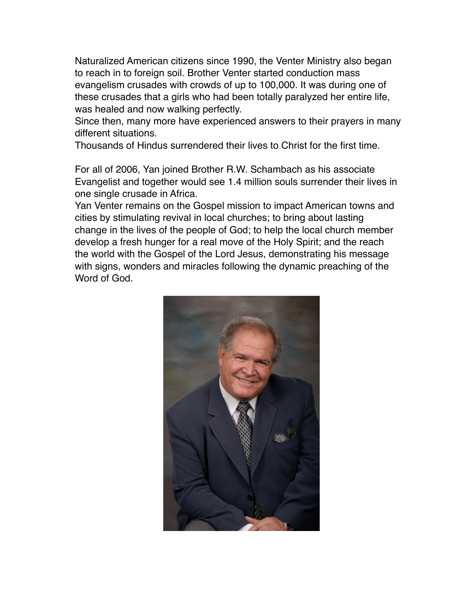Naturalized American citizens since 1990, the Venter Ministry also began to reach in to foreign soil. Brother Venter started conduction mass evangelism crusades with crowds of up to 100,000. It was during one of these crusades that a girls who had been totally paralyzed her entire life, was healed and now walking perfectly.

Since then, many more have experienced answers to their prayers in many different situations.

Thousands of Hindus surrendered their lives to Christ for the first time.

For all of 2006, Yan joined Brother R.W. Schambach as his associate Evangelist and together would see 1.4 million souls surrender their lives in one single crusade in Africa.

Yan Venter remains on the Gospel mission to impact American towns and cities by stimulating revival in local churches; to bring about lasting change in the lives of the people of God; to help the local church member develop a fresh hunger for a real move of the Holy Spirit; and the reach the world with the Gospel of the Lord Jesus, demonstrating his message with signs, wonders and miracles following the dynamic preaching of the Word of God.